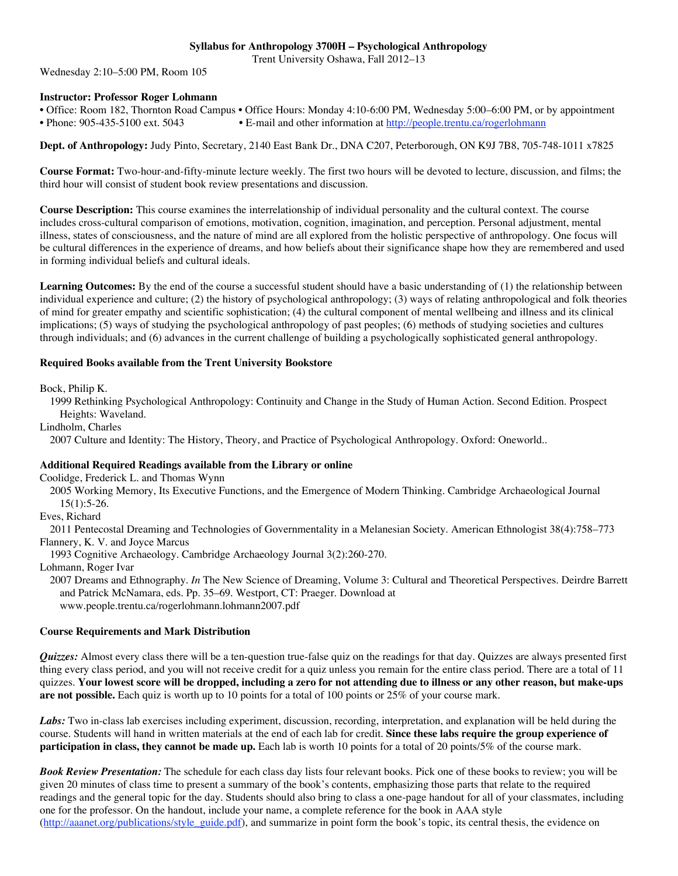# **Syllabus for Anthropology 3700H – Psychological Anthropology**

Trent University Oshawa, Fall 2012–13

Wednesday 2:10–5:00 PM, Room 105

## **Instructor: Professor Roger Lohmann**

• Office: Room 182, Thornton Road Campus • Office Hours: Monday 4:10-6:00 PM, Wednesday 5:00–6:00 PM, or by appointment • Phone: 905-435-5100 ext. 5043 • E-mail and other information at http://people.trentu.ca/rogerlohmann

**Dept. of Anthropology:** Judy Pinto, Secretary, 2140 East Bank Dr., DNA C207, Peterborough, ON K9J 7B8, 705-748-1011 x7825

**Course Format:** Two-hour-and-fifty-minute lecture weekly. The first two hours will be devoted to lecture, discussion, and films; the third hour will consist of student book review presentations and discussion.

**Course Description:** This course examines the interrelationship of individual personality and the cultural context. The course includes cross-cultural comparison of emotions, motivation, cognition, imagination, and perception. Personal adjustment, mental illness, states of consciousness, and the nature of mind are all explored from the holistic perspective of anthropology. One focus will be cultural differences in the experience of dreams, and how beliefs about their significance shape how they are remembered and used in forming individual beliefs and cultural ideals.

**Learning Outcomes:** By the end of the course a successful student should have a basic understanding of (1) the relationship between individual experience and culture; (2) the history of psychological anthropology; (3) ways of relating anthropological and folk theories of mind for greater empathy and scientific sophistication; (4) the cultural component of mental wellbeing and illness and its clinical implications; (5) ways of studying the psychological anthropology of past peoples; (6) methods of studying societies and cultures through individuals; and (6) advances in the current challenge of building a psychologically sophisticated general anthropology.

## **Required Books available from the Trent University Bookstore**

Bock, Philip K.

1999 Rethinking Psychological Anthropology: Continuity and Change in the Study of Human Action. Second Edition. Prospect Heights: Waveland.

Lindholm, Charles

2007 Culture and Identity: The History, Theory, and Practice of Psychological Anthropology. Oxford: Oneworld..

## **Additional Required Readings available from the Library or online**

Coolidge, Frederick L. and Thomas Wynn

2005 Working Memory, Its Executive Functions, and the Emergence of Modern Thinking. Cambridge Archaeological Journal 15(1):5-26.

Eves, Richard

2011 Pentecostal Dreaming and Technologies of Governmentality in a Melanesian Society. American Ethnologist 38(4):758–773 Flannery, K. V. and Joyce Marcus

1993 Cognitive Archaeology. Cambridge Archaeology Journal 3(2):260-270.

Lohmann, Roger Ivar

2007 Dreams and Ethnography. *In* The New Science of Dreaming, Volume 3: Cultural and Theoretical Perspectives. Deirdre Barrett and Patrick McNamara, eds. Pp. 35–69. Westport, CT: Praeger. Download at www.people.trentu.ca/rogerlohmann.lohmann2007.pdf

## **Course Requirements and Mark Distribution**

*Quizzes:* Almost every class there will be a ten-question true-false quiz on the readings for that day. Quizzes are always presented first thing every class period, and you will not receive credit for a quiz unless you remain for the entire class period. There are a total of 11 quizzes. **Your lowest score will be dropped, including a zero for not attending due to illness or any other reason, but make-ups are not possible.** Each quiz is worth up to 10 points for a total of 100 points or 25% of your course mark.

*Labs:* Two in-class lab exercises including experiment, discussion, recording, interpretation, and explanation will be held during the course. Students will hand in written materials at the end of each lab for credit. **Since these labs require the group experience of participation in class, they cannot be made up.** Each lab is worth 10 points for a total of 20 points/5% of the course mark.

*Book Review Presentation:* The schedule for each class day lists four relevant books. Pick one of these books to review; you will be given 20 minutes of class time to present a summary of the book's contents, emphasizing those parts that relate to the required readings and the general topic for the day. Students should also bring to class a one-page handout for all of your classmates, including one for the professor. On the handout, include your name, a complete reference for the book in AAA style (http://aaanet.org/publications/style\_guide.pdf), and summarize in point form the book's topic, its central thesis, the evidence on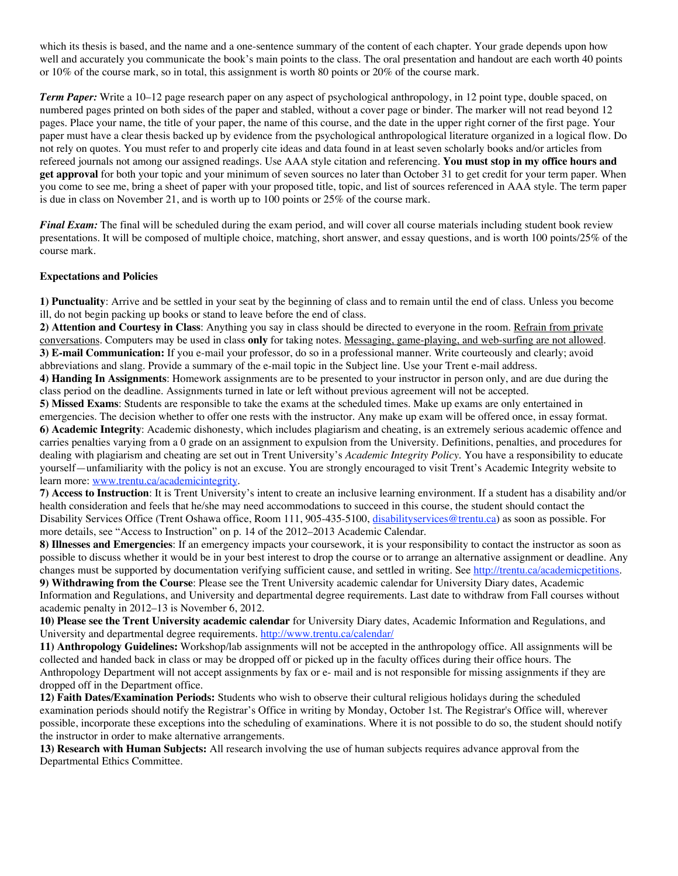which its thesis is based, and the name and a one-sentence summary of the content of each chapter. Your grade depends upon how well and accurately you communicate the book's main points to the class. The oral presentation and handout are each worth 40 points or 10% of the course mark, so in total, this assignment is worth 80 points or 20% of the course mark.

*Term Paper:* Write a 10–12 page research paper on any aspect of psychological anthropology, in 12 point type, double spaced, on numbered pages printed on both sides of the paper and stabled, without a cover page or binder. The marker will not read beyond 12 pages. Place your name, the title of your paper, the name of this course, and the date in the upper right corner of the first page. Your paper must have a clear thesis backed up by evidence from the psychological anthropological literature organized in a logical flow. Do not rely on quotes. You must refer to and properly cite ideas and data found in at least seven scholarly books and/or articles from refereed journals not among our assigned readings. Use AAA style citation and referencing. **You must stop in my office hours and get approval** for both your topic and your minimum of seven sources no later than October 31 to get credit for your term paper. When you come to see me, bring a sheet of paper with your proposed title, topic, and list of sources referenced in AAA style. The term paper is due in class on November 21, and is worth up to 100 points or 25% of the course mark.

*Final Exam:* The final will be scheduled during the exam period, and will cover all course materials including student book review presentations. It will be composed of multiple choice, matching, short answer, and essay questions, and is worth 100 points/25% of the course mark.

#### **Expectations and Policies**

**1) Punctuality**: Arrive and be settled in your seat by the beginning of class and to remain until the end of class. Unless you become ill, do not begin packing up books or stand to leave before the end of class.

**2) Attention and Courtesy in Class**: Anything you say in class should be directed to everyone in the room. Refrain from private conversations. Computers may be used in class **only** for taking notes. Messaging, game-playing, and web-surfing are not allowed. **3) E-mail Communication:** If you e-mail your professor, do so in a professional manner. Write courteously and clearly; avoid abbreviations and slang. Provide a summary of the e-mail topic in the Subject line. Use your Trent e-mail address.

**4) Handing In Assignments**: Homework assignments are to be presented to your instructor in person only, and are due during the class period on the deadline. Assignments turned in late or left without previous agreement will not be accepted.

**5) Missed Exams**: Students are responsible to take the exams at the scheduled times. Make up exams are only entertained in emergencies. The decision whether to offer one rests with the instructor. Any make up exam will be offered once, in essay format. **6) Academic Integrity**: Academic dishonesty, which includes plagiarism and cheating, is an extremely serious academic offence and carries penalties varying from a 0 grade on an assignment to expulsion from the University. Definitions, penalties, and procedures for dealing with plagiarism and cheating are set out in Trent University's *Academic Integrity Policy*. You have a responsibility to educate yourself—unfamiliarity with the policy is not an excuse. You are strongly encouraged to visit Trent's Academic Integrity website to learn more: www.trentu.ca/academicintegrity.

**7) Access to Instruction**: It is Trent University's intent to create an inclusive learning environment. If a student has a disability and/or health consideration and feels that he/she may need accommodations to succeed in this course, the student should contact the Disability Services Office (Trent Oshawa office, Room 111, 905-435-5100, *disabilityservices@trentu.ca*) as soon as possible. For more details, see "Access to Instruction" on p. 14 of the 2012–2013 Academic Calendar.

**8) Illnesses and Emergencies**: If an emergency impacts your coursework, it is your responsibility to contact the instructor as soon as possible to discuss whether it would be in your best interest to drop the course or to arrange an alternative assignment or deadline. Any changes must be supported by documentation verifying sufficient cause, and settled in writing. See http://trentu.ca/academicpetitions. **9) Withdrawing from the Course**: Please see the Trent University academic calendar for University Diary dates, Academic Information and Regulations, and University and departmental degree requirements. Last date to withdraw from Fall courses without academic penalty in 2012–13 is November 6, 2012.

**10) Please see the Trent University academic calendar** for University Diary dates, Academic Information and Regulations, and University and departmental degree requirements. http://www.trentu.ca/calendar/

**11) Anthropology Guidelines:** Workshop/lab assignments will not be accepted in the anthropology office. All assignments will be collected and handed back in class or may be dropped off or picked up in the faculty offices during their office hours. The Anthropology Department will not accept assignments by fax or e- mail and is not responsible for missing assignments if they are dropped off in the Department office.

**12) Faith Dates/Examination Periods:** Students who wish to observe their cultural religious holidays during the scheduled examination periods should notify the Registrar's Office in writing by Monday, October 1st. The Registrar's Office will, wherever possible, incorporate these exceptions into the scheduling of examinations. Where it is not possible to do so, the student should notify the instructor in order to make alternative arrangements.

**13) Research with Human Subjects:** All research involving the use of human subjects requires advance approval from the Departmental Ethics Committee.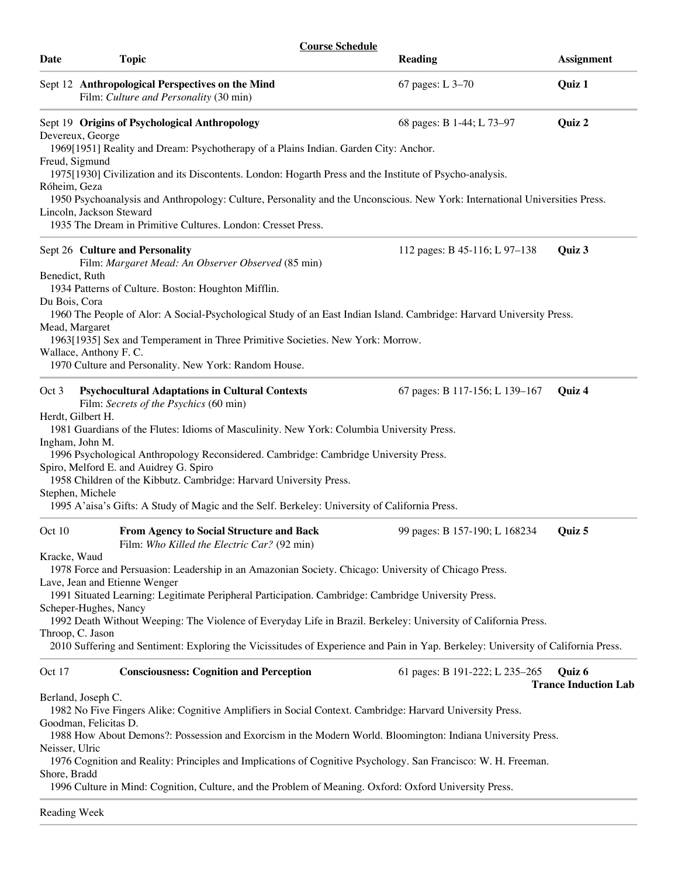| <b>Course Schedule</b> |                                                                                                                                                                |                                                                                                |                                                                                                                                   |                                       |
|------------------------|----------------------------------------------------------------------------------------------------------------------------------------------------------------|------------------------------------------------------------------------------------------------|-----------------------------------------------------------------------------------------------------------------------------------|---------------------------------------|
| Date                   | <b>Topic</b>                                                                                                                                                   |                                                                                                | <b>Reading</b>                                                                                                                    | <b>Assignment</b>                     |
|                        | Sept 12 Anthropological Perspectives on the Mind<br>Film: Culture and Personality (30 min)                                                                     |                                                                                                | 67 pages: L 3-70                                                                                                                  | Quiz 1                                |
|                        | Sept 19 Origins of Psychological Anthropology<br>Devereux, George                                                                                              |                                                                                                | 68 pages: B 1-44; L 73-97                                                                                                         | Quiz 2                                |
|                        | 1969[1951] Reality and Dream: Psychotherapy of a Plains Indian. Garden City: Anchor.<br>Freud, Sigmund                                                         |                                                                                                |                                                                                                                                   |                                       |
| Róheim, Geza           |                                                                                                                                                                |                                                                                                | 1975[1930] Civilization and its Discontents. London: Hogarth Press and the Institute of Psycho-analysis.                          |                                       |
|                        | Lincoln, Jackson Steward<br>1935 The Dream in Primitive Cultures. London: Cresset Press.                                                                       |                                                                                                | 1950 Psychoanalysis and Anthropology: Culture, Personality and the Unconscious. New York: International Universities Press.       |                                       |
|                        | Sept 26 Culture and Personality<br>Film: Margaret Mead: An Observer Observed (85 min)<br>Benedict, Ruth<br>1934 Patterns of Culture. Boston: Houghton Mifflin. |                                                                                                | 112 pages: B 45-116; L 97-138                                                                                                     | Quiz 3                                |
| Du Bois, Cora          | Mead, Margaret<br>1963[1935] Sex and Temperament in Three Primitive Societies. New York: Morrow.<br>Wallace, Anthony F. C.                                     |                                                                                                | 1960 The People of Alor: A Social-Psychological Study of an East Indian Island. Cambridge: Harvard University Press.              |                                       |
|                        | 1970 Culture and Personality. New York: Random House.                                                                                                          |                                                                                                |                                                                                                                                   |                                       |
| Oct 3                  | <b>Psychocultural Adaptations in Cultural Contexts</b><br>Film: Secrets of the Psychics (60 min)<br>Herdt, Gilbert H.                                          |                                                                                                | 67 pages: B 117-156; L 139-167                                                                                                    | Quiz 4                                |
|                        | 1981 Guardians of the Flutes: Idioms of Masculinity. New York: Columbia University Press.                                                                      |                                                                                                |                                                                                                                                   |                                       |
|                        | Ingham, John M.<br>1996 Psychological Anthropology Reconsidered. Cambridge: Cambridge University Press.                                                        |                                                                                                |                                                                                                                                   |                                       |
|                        | Spiro, Melford E. and Auidrey G. Spiro<br>1958 Children of the Kibbutz. Cambridge: Harvard University Press.                                                   |                                                                                                |                                                                                                                                   |                                       |
|                        | Stephen, Michele<br>1995 A'aisa's Gifts: A Study of Magic and the Self. Berkeley: University of California Press.                                              |                                                                                                |                                                                                                                                   |                                       |
| Oct 10                 |                                                                                                                                                                | <b>From Agency to Social Structure and Back</b><br>Film: Who Killed the Electric Car? (92 min) | 99 pages: B 157-190; L 168234                                                                                                     | Quiz 5                                |
| Kracke, Waud           |                                                                                                                                                                |                                                                                                | 1978 Force and Persuasion: Leadership in an Amazonian Society. Chicago: University of Chicago Press.                              |                                       |
|                        | Lave, Jean and Etienne Wenger<br>Scheper-Hughes, Nancy                                                                                                         |                                                                                                | 1991 Situated Learning: Legitimate Peripheral Participation. Cambridge: Cambridge University Press.                               |                                       |
|                        | Throop, C. Jason                                                                                                                                               |                                                                                                | 1992 Death Without Weeping: The Violence of Everyday Life in Brazil. Berkeley: University of California Press.                    |                                       |
|                        |                                                                                                                                                                |                                                                                                | 2010 Suffering and Sentiment: Exploring the Vicissitudes of Experience and Pain in Yap. Berkeley: University of California Press. |                                       |
| Oct 17                 | <b>Consciousness: Cognition and Perception</b>                                                                                                                 |                                                                                                | 61 pages: B 191-222; L 235-265                                                                                                    | Quiz 6<br><b>Trance Induction Lab</b> |
|                        | Berland, Joseph C.<br>Goodman, Felicitas D.                                                                                                                    |                                                                                                | 1982 No Five Fingers Alike: Cognitive Amplifiers in Social Context. Cambridge: Harvard University Press.                          |                                       |
| Neisser, Ulric         |                                                                                                                                                                |                                                                                                | 1988 How About Demons?: Possession and Exorcism in the Modern World. Bloomington: Indiana University Press.                       |                                       |
| Shore, Bradd           |                                                                                                                                                                |                                                                                                | 1976 Cognition and Reality: Principles and Implications of Cognitive Psychology. San Francisco: W. H. Freeman.                    |                                       |
|                        |                                                                                                                                                                |                                                                                                | 1996 Culture in Mind: Cognition, Culture, and the Problem of Meaning. Oxford: Oxford University Press.                            |                                       |
|                        | Reading Week                                                                                                                                                   |                                                                                                |                                                                                                                                   |                                       |